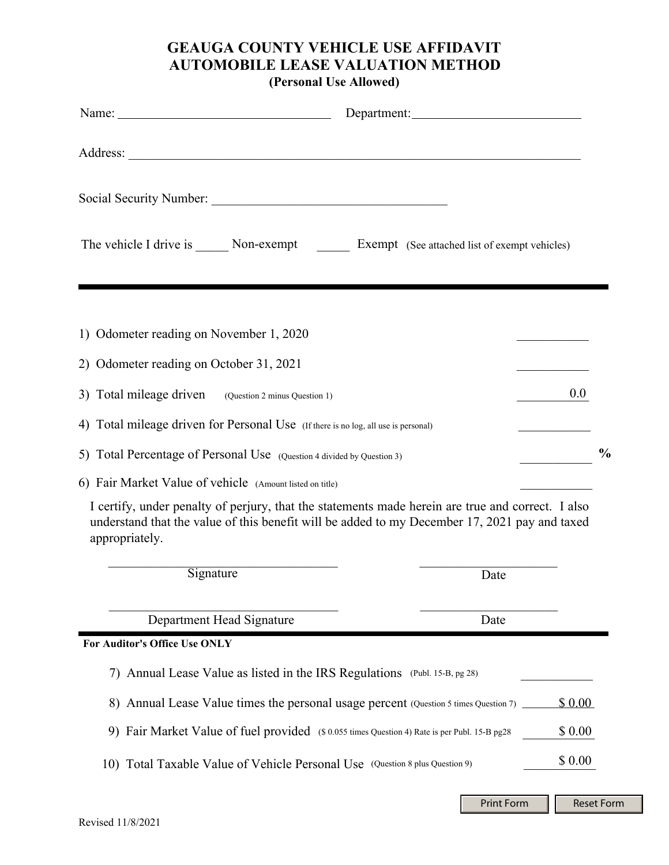## **GEAUGA COUNTY VEHICLE USE AFFIDAVIT AUTOMOBILE LEASE VALUATION METHOD (Personal Use Allowed)**

|                                                                                                                                                                                                                      | Department: |         |               |
|----------------------------------------------------------------------------------------------------------------------------------------------------------------------------------------------------------------------|-------------|---------|---------------|
|                                                                                                                                                                                                                      |             |         |               |
|                                                                                                                                                                                                                      |             |         |               |
| The vehicle I drive is _______ Non-exempt __________ Exempt (See attached list of exempt vehicles)                                                                                                                   |             |         |               |
|                                                                                                                                                                                                                      |             |         |               |
| 1) Odometer reading on November 1, 2020                                                                                                                                                                              |             |         |               |
| 2) Odometer reading on October 31, 2021                                                                                                                                                                              |             |         |               |
| 3) Total mileage driven<br>(Question 2 minus Question 1)                                                                                                                                                             |             | 0.0     |               |
| 4) Total mileage driven for Personal Use (If there is no log, all use is personal)                                                                                                                                   |             |         |               |
| 5) Total Percentage of Personal Use (Question 4 divided by Question 3)                                                                                                                                               |             |         | $\frac{0}{0}$ |
| 6) Fair Market Value of vehicle (Amount listed on title)                                                                                                                                                             |             |         |               |
| I certify, under penalty of perjury, that the statements made herein are true and correct. I also<br>understand that the value of this benefit will be added to my December 17, 2021 pay and taxed<br>appropriately. |             |         |               |
| Signature                                                                                                                                                                                                            | Date        |         |               |
| Department Head Signature                                                                                                                                                                                            | Date        |         |               |
| For Auditor's Office Use ONLY                                                                                                                                                                                        |             |         |               |
| 7) Annual Lease Value as listed in the IRS Regulations (Publ. 15-B, pg 28)                                                                                                                                           |             |         |               |
| 8) Annual Lease Value times the personal usage percent (Question 5 times Question 7) _                                                                                                                               |             | \$0.00  |               |
| 9) Fair Market Value of fuel provided (\$ 0.055 times Question 4) Rate is per Publ. 15-B pg28                                                                                                                        |             | \$ 0.00 |               |
| 10) Total Taxable Value of Vehicle Personal Use (Question 8 plus Question 9)                                                                                                                                         |             | \$ 0.00 |               |

Print Form **Reset Form**